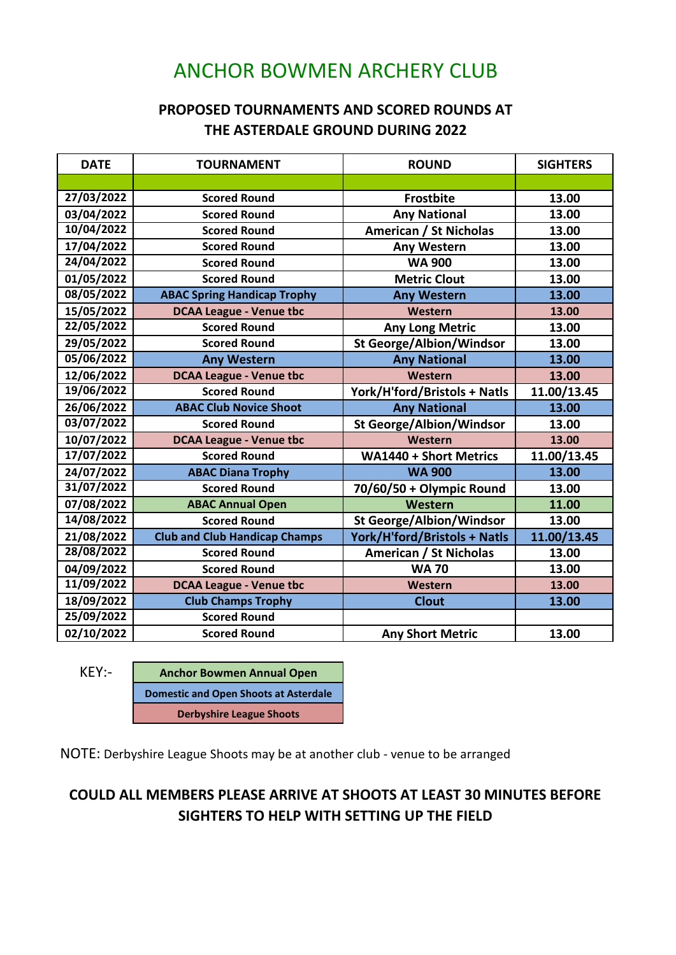## ANCHOR BOWMEN ARCHERY CLUB

## **PROPOSED TOURNAMENTS AND SCORED ROUNDS AT THE ASTERDALE GROUND DURING 2022**

| <b>DATE</b> | <b>TOURNAMENT</b>                    | <b>ROUND</b>                    | <b>SIGHTERS</b> |
|-------------|--------------------------------------|---------------------------------|-----------------|
|             |                                      |                                 |                 |
| 27/03/2022  | <b>Scored Round</b>                  | <b>Frostbite</b>                | 13.00           |
| 03/04/2022  | <b>Scored Round</b>                  | <b>Any National</b>             | 13.00           |
| 10/04/2022  | <b>Scored Round</b>                  | <b>American / St Nicholas</b>   | 13.00           |
| 17/04/2022  | <b>Scored Round</b>                  | <b>Any Western</b>              | 13.00           |
| 24/04/2022  | <b>Scored Round</b>                  | <b>WA 900</b>                   | 13.00           |
| 01/05/2022  | <b>Scored Round</b>                  | <b>Metric Clout</b>             | 13.00           |
| 08/05/2022  | <b>ABAC Spring Handicap Trophy</b>   | <b>Any Western</b>              | 13.00           |
| 15/05/2022  | <b>DCAA League - Venue tbc</b>       | Western                         | 13.00           |
| 22/05/2022  | <b>Scored Round</b>                  | <b>Any Long Metric</b>          | 13.00           |
| 29/05/2022  | <b>Scored Round</b>                  | <b>St George/Albion/Windsor</b> | 13.00           |
| 05/06/2022  | <b>Any Western</b>                   | <b>Any National</b>             | 13.00           |
| 12/06/2022  | <b>DCAA League - Venue tbc</b>       | Western                         | 13.00           |
| 19/06/2022  | <b>Scored Round</b>                  | York/H'ford/Bristols + Natls    | 11.00/13.45     |
| 26/06/2022  | <b>ABAC Club Novice Shoot</b>        | <b>Any National</b>             | 13.00           |
| 03/07/2022  | <b>Scored Round</b>                  | <b>St George/Albion/Windsor</b> | 13.00           |
| 10/07/2022  | <b>DCAA League - Venue tbc</b>       | Western                         | 13.00           |
| 17/07/2022  | <b>Scored Round</b>                  | <b>WA1440 + Short Metrics</b>   | 11.00/13.45     |
| 24/07/2022  | <b>ABAC Diana Trophy</b>             | <b>WA 900</b>                   | 13.00           |
| 31/07/2022  | <b>Scored Round</b>                  | 70/60/50 + Olympic Round        | 13.00           |
| 07/08/2022  | <b>ABAC Annual Open</b>              | Western                         | 11.00           |
| 14/08/2022  | <b>Scored Round</b>                  | <b>St George/Albion/Windsor</b> | 13.00           |
| 21/08/2022  | <b>Club and Club Handicap Champs</b> | York/H'ford/Bristols + Natls    | 11.00/13.45     |
| 28/08/2022  | <b>Scored Round</b>                  | <b>American / St Nicholas</b>   | 13.00           |
| 04/09/2022  | <b>Scored Round</b>                  | <b>WA70</b>                     | 13.00           |
| 11/09/2022  | <b>DCAA League - Venue tbc</b>       | Western                         | 13.00           |
| 18/09/2022  | <b>Club Champs Trophy</b>            | <b>Clout</b>                    | 13.00           |
| 25/09/2022  | <b>Scored Round</b>                  |                                 |                 |
| 02/10/2022  | <b>Scored Round</b>                  | <b>Any Short Metric</b>         | 13.00           |

KEY:- **Anchor Bowmen Annual Open Domestic and Open Shoots at Asterdale Derbyshire League Shoots**

NOTE: Derbyshire League Shoots may be at another club - venue to be arranged

## **COULD ALL MEMBERS PLEASE ARRIVE AT SHOOTS AT LEAST 30 MINUTES BEFORE SIGHTERS TO HELP WITH SETTING UP THE FIELD**